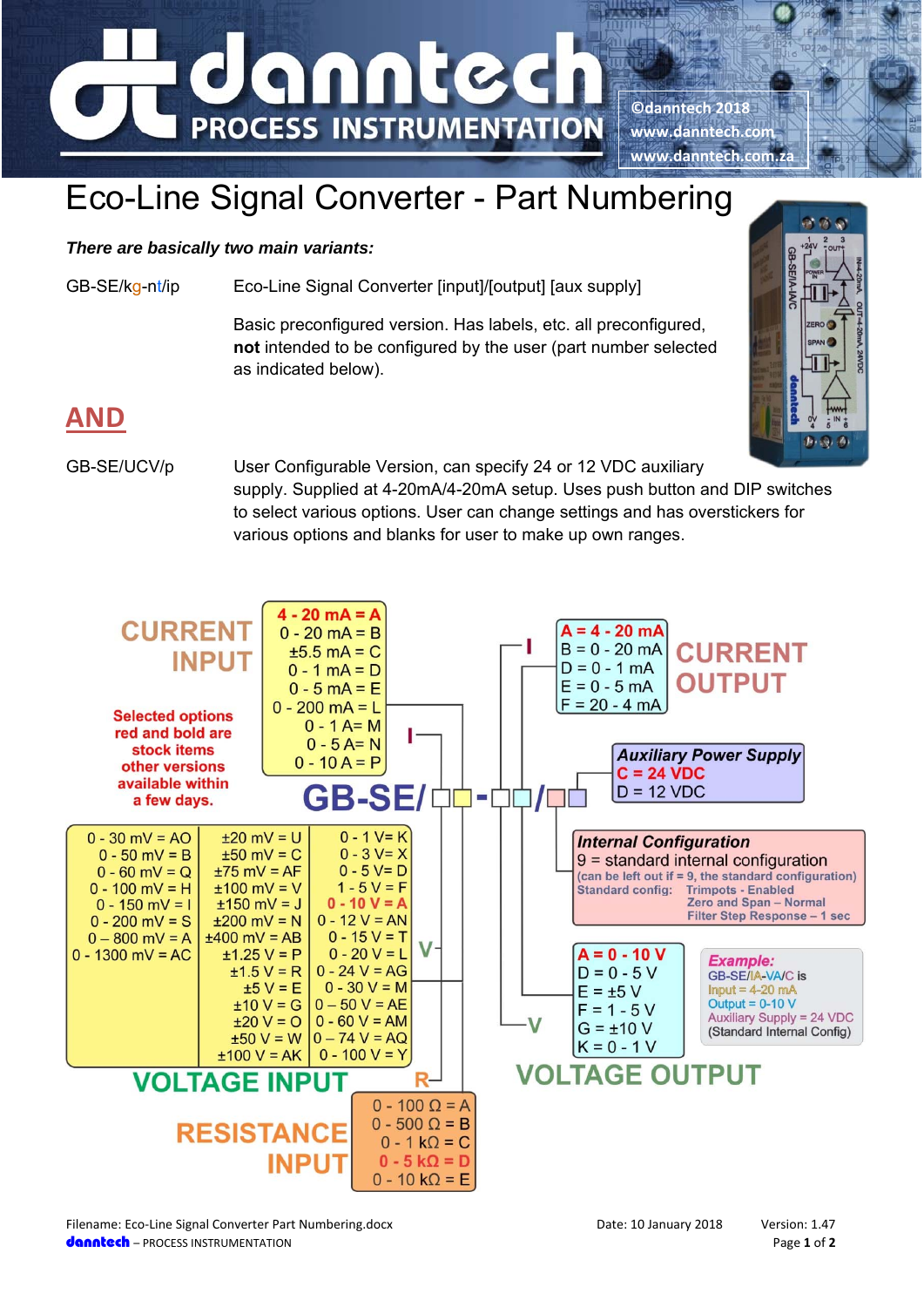# anntec **PROCESS INSTRUMENTATION**

**©danntech 2018 www.danntech.com www.danntech.com.za**

### Eco-Line Signal Converter - Part Numbering

### *There are basically two main variants:*

GB-SE/kg-nt/ip Eco-Line Signal Converter [input]/[output] [aux supply]

 Basic preconfigured version. Has labels, etc. all preconfigured, **not** intended to be configured by the user (part number selected as indicated below).



### **AND**

## GB-SE/UCV/p User Configurable Version, can specify 24 or 12 VDC auxiliary

supply. Supplied at 4-20mA/4-20mA setup. Uses push button and DIP switches to select various options. User can change settings and has overstickers for various options and blanks for user to make up own ranges.



Filename: Eco-Line Signal Converter Part Numbering.docx Date: Date: 10 January 2018 Version: 1.47 danntech – PROCESS INSTRUMENTATION Page **1** of **2**